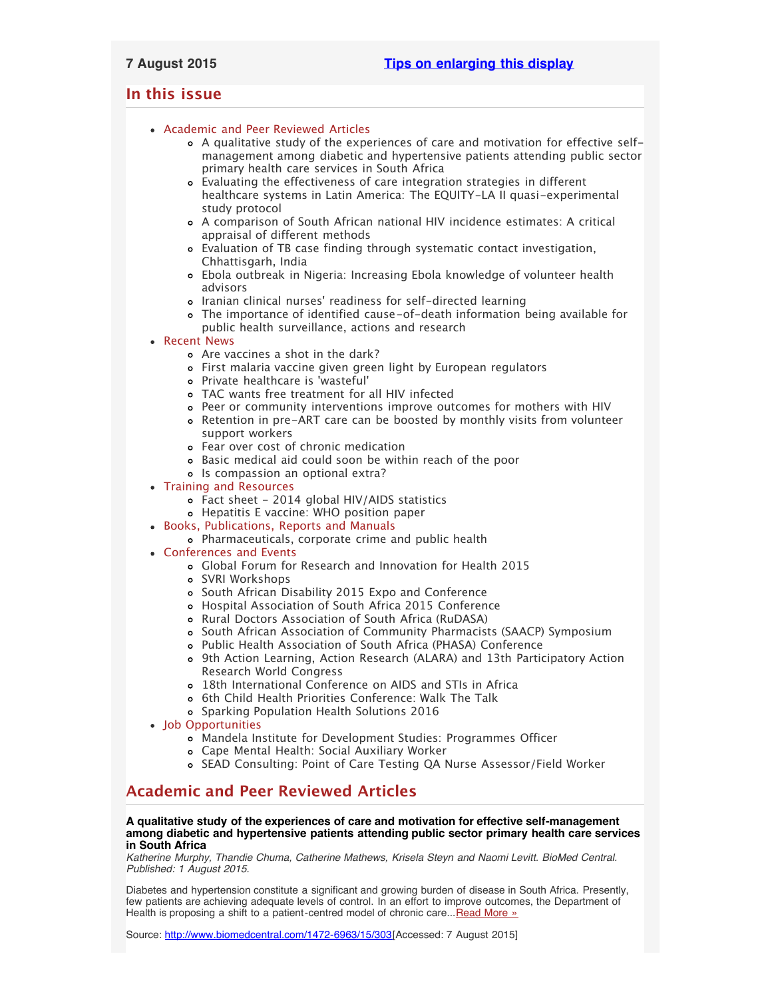# <span id="page-0-2"></span>**In this issue**

- [Academic and Peer Reviewed Articles](#page-0-0)
	- [A qualitative study of the experiences of care and motivation for effective self](#page-0-1)[management among diabetic and hypertensive patients attending public sector](#page-0-1) [primary health care services in South Africa](#page-0-1)
	- [Evaluating the effectiveness of care integration strategies in different](#page-1-0) [healthcare systems in Latin America: The EQUITY-LA II quasi-experimental](#page-1-0) [study protocol](#page-1-0)
	- [A comparison of South African national HIV incidence estimates: A critical](#page-1-1) [appraisal of different methods](#page-1-1)
	- [Evaluation of TB case finding through systematic contact investigation,](#page-1-2) [Chhattisgarh, India](#page-1-2)
	- [Ebola outbreak in Nigeria: Increasing Ebola knowledge of volunteer health](#page-1-3) [advisors](#page-1-3)
	- Iranian clinical nurses[' readiness for self-directed learning](#page-1-4)
	- [The importance of identified cause-of-death information being available for](#page-1-5) [public health surveillance, actions and research](#page-1-5)
- [Recent News](#page-1-6)
	- [Are vaccines a shot in the dark?](#page-2-0)
	- [First malaria vaccine given green light by European regulators](#page-2-1)
	- [Private healthcare is](#page-2-2) 'wasteful'
	- [TAC wants free treatment for all HIV infected](#page-2-3)
	- [Peer or community interventions improve outcomes for mothers with HIV](#page-2-4)
	- [Retention in pre-ART care can be boosted by monthly visits from volunteer](#page-2-5) [support workers](#page-2-5)
	- [Fear over cost of chronic medication](#page-2-6)
	- [Basic medical aid could soon be within reach of the poor](#page-3-0)
	- o [Is compassion an optional extra?](#page-3-1)
- [Training and Resources](#page-3-2)
	- [Fact sheet 2014 global HIV/AIDS statistics](#page-3-3)
	- [Hepatitis E vaccine: WHO position paper](#page-3-4)
- [Books, Publications, Reports and Manuals](#page-3-5)
	- [Pharmaceuticals, corporate crime and public health](#page-3-6)
- [Conferences and Events](#page-3-7)
	- [Global Forum for Research and Innovation for Health 2015](#page-3-8)
	- [SVRI Workshops](#page-3-9)
	- [South African Disability 2015 Expo and Conference](#page-4-0)
	- [Hospital Association of South Africa 2015 Conference](#page-4-1)
	- [Rural Doctors Association of South Africa \(RuDASA\)](#page-4-2)
	- o [South African Association of Community Pharmacists \(SAACP\) Symposium](#page-4-3)
	- [Public Health Association of South Africa \(PHASA\) Conference](#page-4-4)
	- [9th Action Learning, Action Research \(ALARA\) and 13th Participatory Action](#page-4-5) [Research World Congress](#page-4-5)
	- [18th International Conference on AIDS and STIs in Africa](#page-4-6)
	- o [6th Child Health Priorities Conference: Walk The Talk](#page-5-0)
	- [Sparking Population Health Solutions 2016](#page-5-1)
- [Job Opportunities](#page-5-2)
	- [Mandela Institute for Development Studies: Programmes Officer](#page-5-3)
	- [Cape Mental Health: Social Auxiliary Worker](#page-5-4)
	- o [SEAD Consulting: Point of Care Testing QA Nurse Assessor/Field Worker](#page-5-5)

# <span id="page-0-0"></span>**Academic and Peer Reviewed Articles**

## <span id="page-0-1"></span>**A qualitative study of the experiences of care and motivation for effective self-management among diabetic and hypertensive patients attending public sector primary health care services in South Africa**

*Katherine Murphy, Thandie Chuma, Catherine Mathews, Krisela Steyn and Naomi Levitt. BioMed Central. Published: 1 August 2015.*

Diabetes and hypertension constitute a significant and growing burden of disease in South Africa. Presently, few patients are achieving adequate levels of control. In an effort to improve outcomes, the Department of Health is proposing a shift to a patient-centred model of chronic care... [Read More »](http://www.biomedcentral.com/1472-6963/15/303)

Source: [http://www.biomedcentral.com/1472-6963/15/303\[](http://www.biomedcentral.com/1472-6963/15/303)Accessed: 7 August 2015]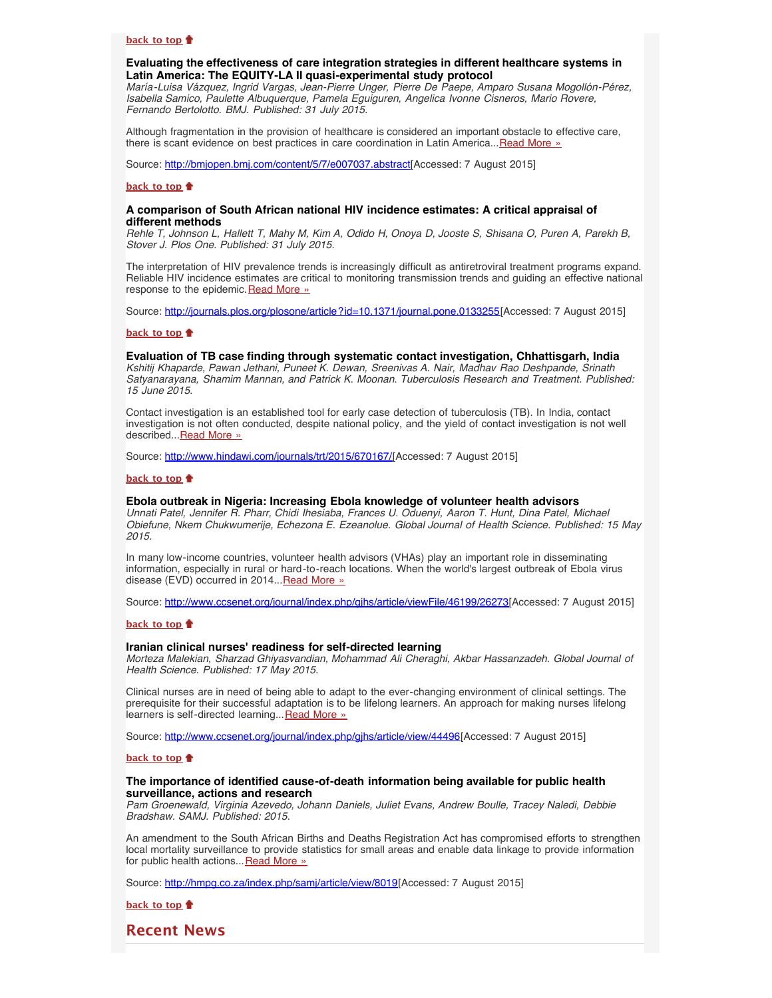#### **[back to top](#page-0-2)**

## <span id="page-1-0"></span>**Evaluating the effectiveness of care integration strategies in different healthcare systems in Latin America: The EQUITY-LA II quasi-experimental study protocol**

*María-Luisa Vázquez, Ingrid Vargas, Jean-Pierre Unger, Pierre De Paepe, Amparo Susana Mogollón-Pérez, Isabella Samico, Paulette Albuquerque, Pamela Eguiguren, Angelica Ivonne Cisneros, Mario Rovere, Fernando Bertolotto. BMJ. Published: 31 July 2015.*

Although fragmentation in the provision of healthcare is considered an important obstacle to effective care, there is scant evidence on best practices in care coordination in Latin America... [Read More »](http://bmjopen.bmj.com/content/5/7/e007037.abstract)

Source: [http://bmjopen.bmj.com/content/5/7/e007037.abstract\[](http://bmjopen.bmj.com/content/5/7/e007037.abstract)Accessed: 7 August 2015]

#### **[back to top](#page-0-2)**

### <span id="page-1-1"></span>**A comparison of South African national HIV incidence estimates: A critical appraisal of different methods**

*Rehle T, Johnson L, Hallett T, Mahy M, Kim A, Odido H, Onoya D, Jooste S, Shisana O, Puren A, Parekh B, Stover J. Plos One. Published: 31 July 2015.*

The interpretation of HIV prevalence trends is increasingly difficult as antiretroviral treatment programs expand. Reliable HIV incidence estimates are critical to monitoring transmission trends and guiding an effective national response to the epidemic. [Read More »](http://journals.plos.org/plosone/article?id=10.1371/journal.pone.0133255)

Source: <http://journals.plos.org/plosone/article?id=10.1371/journal.pone.0133255>[Accessed: 7 August 2015]

#### **[back to top](#page-0-2)**

#### <span id="page-1-2"></span>**Evaluation of TB case finding through systematic contact investigation, Chhattisgarh, India**

*Kshitij Khaparde, Pawan Jethani, Puneet K. Dewan, Sreenivas A. Nair, Madhav Rao Deshpande, Srinath Satyanarayana, Shamim Mannan, and Patrick K. Moonan. Tuberculosis Research and Treatment. Published: 15 June 2015.*

Contact investigation is an established tool for early case detection of tuberculosis (TB). In India, contact investigation is not often conducted, despite national policy, and the yield of contact investigation is not well described... [Read More »](http://www.hindawi.com/journals/trt/2015/670167/)

Source: [http://www.hindawi.com/journals/trt/2015/670167/\[](http://www.hindawi.com/journals/trt/2015/670167/)Accessed: 7 August 2015]

### **[back to top](#page-0-2)**

#### <span id="page-1-3"></span>**Ebola outbreak in Nigeria: Increasing Ebola knowledge of volunteer health advisors**

*Unnati Patel, Jennifer R. Pharr, Chidi Ihesiaba, Frances U. Oduenyi, Aaron T. Hunt, Dina Patel, Michael Obiefune, Nkem Chukwumerije, Echezona E. Ezeanolue. Global Journal of Health Science. Published: 15 May 2015.*

In many low-income countries, volunteer health advisors (VHAs) play an important role in disseminating information, especially in rural or hard-to-reach locations. When the world's largest outbreak of Ebola virus disease (EVD) occurred in 2014... [Read More »](http://www.ccsenet.org/journal/index.php/gjhs/article/viewFile/46199/26273)

Source: [http://www.ccsenet.org/journal/index.php/gjhs/article/viewFile/46199/26273\[](http://www.ccsenet.org/journal/index.php/gjhs/article/viewFile/46199/26273)Accessed: 7 August 2015]

#### **[back to top](#page-0-2)**

#### <span id="page-1-4"></span>**Iranian clinical nurses' readiness for self-directed learning**

*Morteza Malekian, Sharzad Ghiyasvandian, Mohammad Ali Cheraghi, Akbar Hassanzadeh. Global Journal of Health Science. Published: 17 May 2015.*

Clinical nurses are in need of being able to adapt to the ever-changing environment of clinical settings. The prerequisite for their successful adaptation is to be lifelong learners. An approach for making nurses lifelong learners is self-directed learning... [Read More »](http://www.ccsenet.org/journal/index.php/gjhs/article/view/44496)

Source: [http://www.ccsenet.org/journal/index.php/gjhs/article/view/44496\[](http://www.ccsenet.org/journal/index.php/gjhs/article/view/44496)Accessed: 7 August 2015]

#### **[back to top](#page-0-2)**

### <span id="page-1-5"></span>**The importance of identified cause-of-death information being available for public health surveillance, actions and research**

*Pam Groenewald, Virginia Azevedo, Johann Daniels, Juliet Evans, Andrew Boulle, Tracey Naledi, Debbie Bradshaw. SAMJ. Published: 2015.*

An amendment to the South African Births and Deaths Registration Act has compromised efforts to strengthen local mortality surveillance to provide statistics for small areas and enable data linkage to provide information for public health actions... [Read More »](http://hmpg.co.za/index.php/samj/article/view/8019)

Source: <http://hmpg.co.za/index.php/samj/article/view/8019>[Accessed: 7 August 2015]

**[back to top](#page-0-2)**

<span id="page-1-6"></span>**Recent News**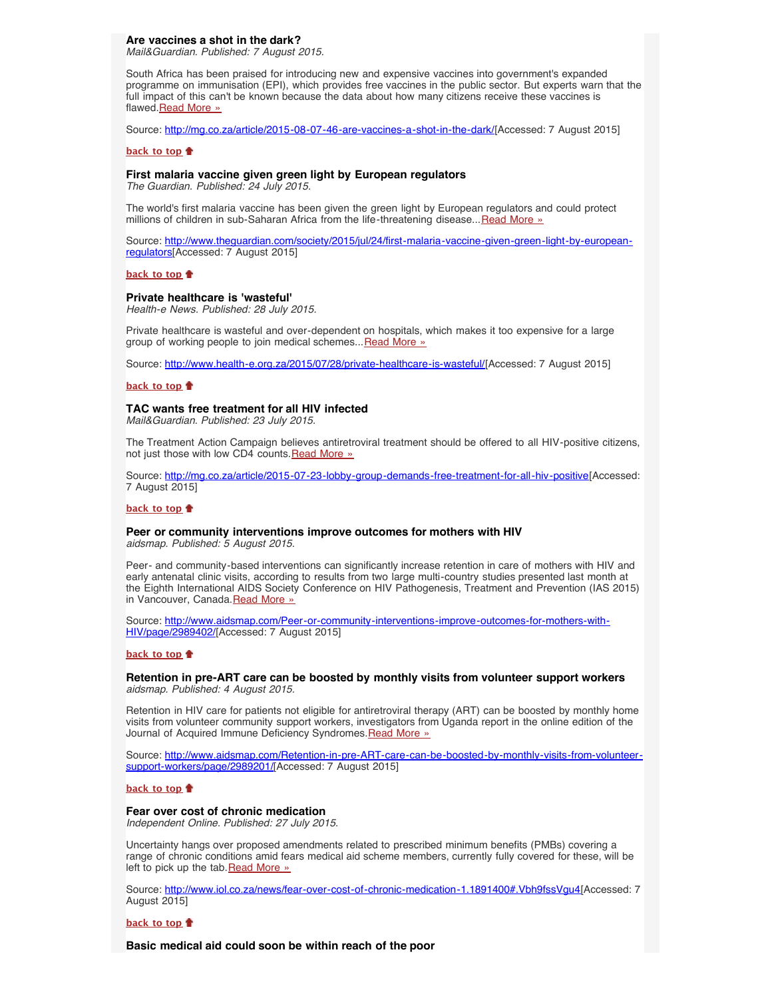## <span id="page-2-0"></span>**Are vaccines a shot in the dark?**

*Mail&Guardian. Published: 7 August 2015.*

South Africa has been praised for introducing new and expensive vaccines into government's expanded programme on immunisation (EPI), which provides free vaccines in the public sector. But experts warn that the full impact of this can't be known because the data about how many citizens receive these vaccines is flawed[.Read More »](http://mg.co.za/article/2015-08-07-46-are-vaccines-a-shot-in-the-dark/)

Source: [http://mg.co.za/article/2015-08-07-46-are-vaccines-a-shot-in-the-dark/\[](http://mg.co.za/article/2015-08-07-46-are-vaccines-a-shot-in-the-dark/)Accessed: 7 August 2015]

#### **[back to top](#page-0-2)**

#### <span id="page-2-1"></span>**First malaria vaccine given green light by European regulators**

*The Guardian. Published: 24 July 2015.*

The world's first malaria vaccine has been given the green light by European regulators and could protect millions of children in sub-Saharan Africa from the life-threatening disease...[Read More »](http://www.theguardian.com/society/2015/jul/24/first-malaria-vaccine-given-green-light-by-european-regulators)

Source: [http://www.theguardian.com/society/2015/jul/24/first-malaria-vaccine-given-green-light-by-european](http://www.theguardian.com/society/2015/jul/24/first-malaria-vaccine-given-green-light-by-european-regulators)[regulators\[](http://www.theguardian.com/society/2015/jul/24/first-malaria-vaccine-given-green-light-by-european-regulators)Accessed: 7 August 2015]

#### **[back to top](#page-0-2)**

### <span id="page-2-2"></span>**Private healthcare is 'wasteful'**

*Health-e News. Published: 28 July 2015.*

Private healthcare is wasteful and over-dependent on hospitals, which makes it too expensive for a large group of working people to join medical schemes... [Read More »](http://www.hst.org.za/news/private-healthcare-wasteful)

Source: <http://www.health-e.org.za/2015/07/28/private-healthcare-is-wasteful/>[Accessed: 7 August 2015]

#### **[back to top](#page-0-2)**

#### <span id="page-2-3"></span>**TAC wants free treatment for all HIV infected**

*Mail&Guardian. Published: 23 July 2015.*

The Treatment Action Campaign believes antiretroviral treatment should be offered to all HIV-positive citizens, not just those with low CD4 counts. [Read More »](http://www.hst.org.za/news/tac-wants-free-treatment-all-hiv-infected)

Source: [http://mg.co.za/article/2015-07-23-lobby-group-demands-free-treatment-for-all-hiv-positive\[](http://mg.co.za/article/2015-07-23-lobby-group-demands-free-treatment-for-all-hiv-positive)Accessed: 7 August 2015]

## **[back to top](#page-0-2)**

# <span id="page-2-4"></span>**Peer or community interventions improve outcomes for mothers with HIV**

*aidsmap. Published: 5 August 2015.*

Peer- and community-based interventions can significantly increase retention in care of mothers with HIV and early antenatal clinic visits, according to results from two large multi-country studies presented last month at the Eighth International AIDS Society Conference on HIV Pathogenesis, Treatment and Prevention (IAS 2015) in Vancouver, Canada.[Read More »](http://www.aidsmap.com/Peer-or-community-interventions-improve-outcomes-for-mothers-with-HIV/page/2989402/)

Source: [http://www.aidsmap.com/Peer-or-community-interventions-improve-outcomes-for-mothers-with-](http://www.aidsmap.com/Peer-or-community-interventions-improve-outcomes-for-mothers-with-HIV/page/2989402/)[HIV/page/2989402/](http://www.aidsmap.com/Peer-or-community-interventions-improve-outcomes-for-mothers-with-HIV/page/2989402/)[Accessed: 7 August 2015]

#### **[back to top](#page-0-2)**

#### <span id="page-2-5"></span>**Retention in pre-ART care can be boosted by monthly visits from volunteer support workers** *aidsmap. Published: 4 August 2015.*

Retention in HIV care for patients not eligible for antiretroviral therapy (ART) can be boosted by monthly home visits from volunteer community support workers, investigators from Uganda report in the online edition of the Journal of Acquired Immune Deficiency Syndromes.[Read More »](http://www.aidsmap.com/Retention-in-pre-ART-care-can-be-boosted-by-monthly-visits-from-volunteer-support-workers/page/2989201/)

Source: [http://www.aidsmap.com/Retention-in-pre-ART-care-can-be-boosted-by-monthly-visits-from-volunteer](http://www.aidsmap.com/Retention-in-pre-ART-care-can-be-boosted-by-monthly-visits-from-volunteer-support-workers/page/2989201/)[support-workers/page/2989201/](http://www.aidsmap.com/Retention-in-pre-ART-care-can-be-boosted-by-monthly-visits-from-volunteer-support-workers/page/2989201/)[Accessed: 7 August 2015]

**[back to top](#page-0-2)**

### <span id="page-2-6"></span>**Fear over cost of chronic medication**

*Independent Online. Published: 27 July 2015.*

Uncertainty hangs over proposed amendments related to prescribed minimum benefits (PMBs) covering a range of chronic conditions amid fears medical aid scheme members, currently fully covered for these, will be left to pick up the tab. [Read More »](http://www.iol.co.za/news/fear-over-cost-of-chronic-medication-1.1891400#.Vbh9fssVgu4)

Source: [http://www.iol.co.za/news/fear-over-cost-of-chronic-medication-1.1891400#.Vbh9fssVgu4\[](http://www.iol.co.za/news/fear-over-cost-of-chronic-medication-1.1891400#.Vbh9fssVgu4)Accessed: 7 August 2015]

#### **[back to top](#page-0-2)**

**Basic medical aid could soon be within reach of the poor**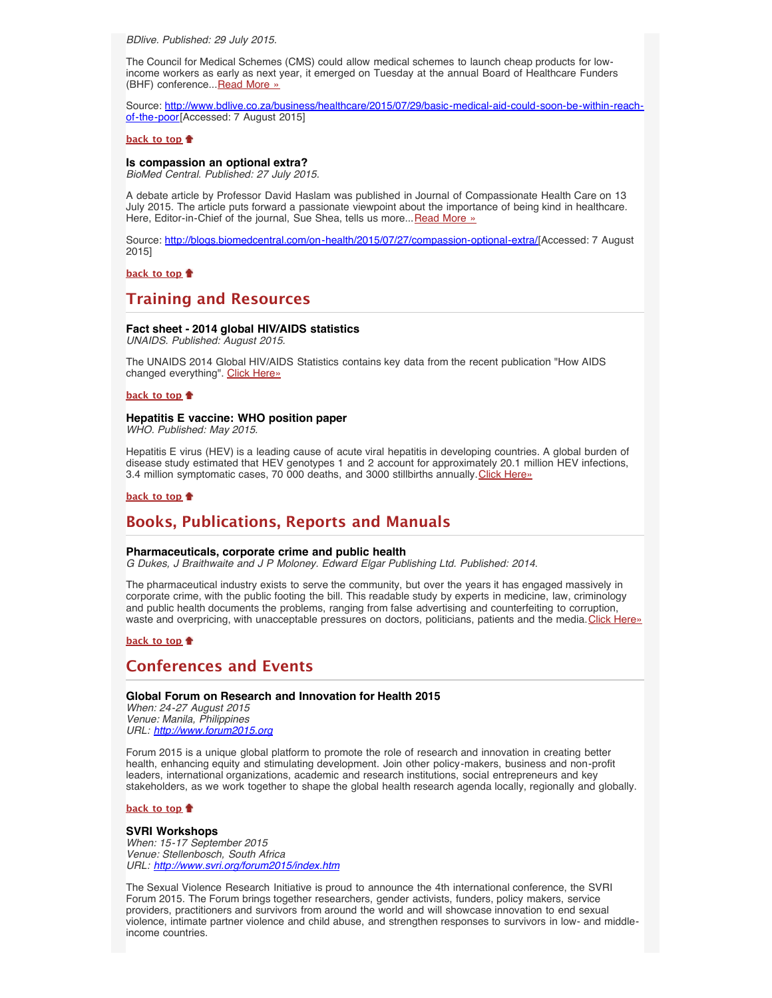<span id="page-3-0"></span>*BDlive. Published: 29 July 2015.*

The Council for Medical Schemes (CMS) could allow medical schemes to launch cheap products for lowincome workers as early as next year, it emerged on Tuesday at the annual Board of Healthcare Funders (BHF) conference... [Read More »](http://www.hst.org.za/news/basic-medical-aid-could-soon-be-within-reach-poor)

Source: [http://www.bdlive.co.za/business/healthcare/2015/07/29/basic-medical-aid-could-soon-be-within-reach](http://www.bdlive.co.za/business/healthcare/2015/07/29/basic-medical-aid-could-soon-be-within-reach-of-the-poor)[of-the-poor\[](http://www.bdlive.co.za/business/healthcare/2015/07/29/basic-medical-aid-could-soon-be-within-reach-of-the-poor)Accessed: 7 August 2015]

## **[back to top](#page-0-2)**

#### <span id="page-3-1"></span>**Is compassion an optional extra?**

*BioMed Central. Published: 27 July 2015.*

A debate article by Professor David Haslam was published in Journal of Compassionate Health Care on 13 July 2015. The article puts forward a passionate viewpoint about the importance of being kind in healthcare. Here, Editor-in-Chief of the journal, Sue Shea, tells us more... [Read More »](http://blogs.biomedcentral.com/on-health/2015/07/27/compassion-optional-extra/)

Source: <http://blogs.biomedcentral.com/on-health/2015/07/27/compassion-optional-extra/>[Accessed: 7 August 2015]

**[back to top](#page-0-2)**

# <span id="page-3-2"></span>**Training and Resources**

## <span id="page-3-3"></span>**Fact sheet - 2014 global HIV/AIDS statistics**

*UNAIDS. Published: August 2015.*

The UNAIDS 2014 Global HIV/AIDS Statistics contains key data from the recent publication "How AIDS changed everything". [Click Here»](http://www.unaids.org/en/resources/documents/2015/20150714_factsheet)

#### **[back to top](#page-0-2)**

### <span id="page-3-4"></span>**Hepatitis E vaccine: WHO position paper**

*WHO. Published: May 2015.*

Hepatitis E virus (HEV) is a leading cause of acute viral hepatitis in developing countries. A global burden of disease study estimated that HEV genotypes 1 and 2 account for approximately 20.1 million HEV infections, 3.4 million symptomatic cases, 70 000 deaths, and 3000 stillbirths annually.[Click Here»](http://www.who.int/wer/2015/wer9018.pdf)

## **[back to top](#page-0-2)**

## <span id="page-3-5"></span>**Books, Publications, Reports and Manuals**

#### <span id="page-3-6"></span>**Pharmaceuticals, corporate crime and public health**

*G Dukes, J Braithwaite and J P Moloney. Edward Elgar Publishing Ltd. Published: 2014.*

The pharmaceutical industry exists to serve the community, but over the years it has engaged massively in corporate crime, with the public footing the bill. This readable study by experts in medicine, law, criminology and public health documents the problems, ranging from false advertising and counterfeiting to corruption, waste and overpricing, with unacceptable pressures on doctors, politicians, patients and the media. [Click Here»](http://www.e-elgar.com/shop/pharmaceuticals-corporate-crime-and-public-health)

**[back to top](#page-0-2)**

# <span id="page-3-7"></span>**Conferences and Events**

## <span id="page-3-8"></span>**Global Forum on Research and Innovation for Health 2015**

*When: 24-27 August 2015 Venue: Manila, Philippines URL: [http://www.forum2015.org](http://www.forum2015.org/)*

Forum 2015 is a unique global platform to promote the role of research and innovation in creating better health, enhancing equity and stimulating development. Join other policy-makers, business and non-profit leaders, international organizations, academic and research institutions, social entrepreneurs and key stakeholders, as we work together to shape the global health research agenda locally, regionally and globally.

### **[back to top](#page-0-2)**

#### <span id="page-3-9"></span>**SVRI Workshops**

*When: 15-17 September 2015 Venue: Stellenbosch, South Africa URL: <http://www.svri.org/forum2015/index.htm>*

The Sexual Violence Research Initiative is proud to announce the 4th international conference, the SVRI Forum 2015. The Forum brings together researchers, gender activists, funders, policy makers, service providers, practitioners and survivors from around the world and will showcase innovation to end sexual violence, intimate partner violence and child abuse, and strengthen responses to survivors in low- and middleincome countries.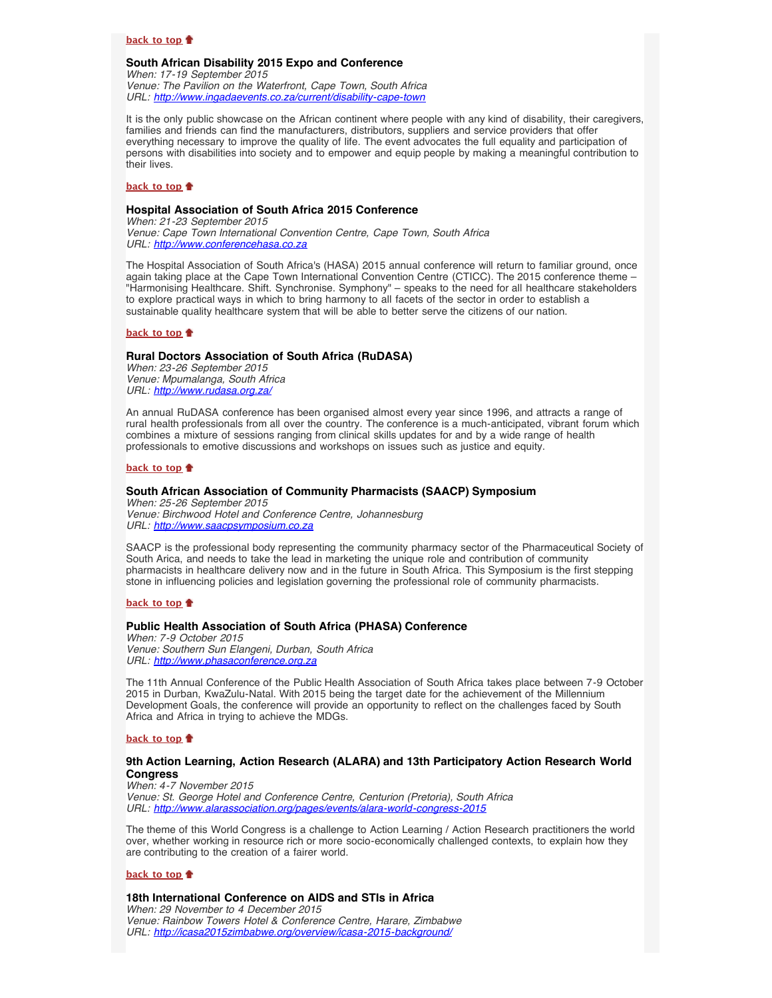### **[back to top](#page-0-2)**

#### <span id="page-4-0"></span>**South African Disability 2015 Expo and Conference**

*When: 17-19 September 2015*

*Venue: The Pavilion on the Waterfront, Cape Town, South Africa URL: <http://www.ingadaevents.co.za/current/disability-cape-town>*

It is the only public showcase on the African continent where people with any kind of disability, their caregivers, families and friends can find the manufacturers, distributors, suppliers and service providers that offer everything necessary to improve the quality of life. The event advocates the full equality and participation of persons with disabilities into society and to empower and equip people by making a meaningful contribution to their lives.

### **[back to top](#page-0-2)**

## <span id="page-4-1"></span>**Hospital Association of South Africa 2015 Conference**

*When: 21-23 September 2015 Venue: Cape Town International Convention Centre, Cape Town, South Africa URL: [http://www.conferencehasa.co.za](http://www.conferencehasa.co.za/)*

The Hospital Association of South Africa's (HASA) 2015 annual conference will return to familiar ground, once again taking place at the Cape Town International Convention Centre (CTICC). The 2015 conference theme – "Harmonising Healthcare. Shift. Synchronise. Symphony" – speaks to the need for all healthcare stakeholders to explore practical ways in which to bring harmony to all facets of the sector in order to establish a sustainable quality healthcare system that will be able to better serve the citizens of our nation.

### **[back to top](#page-0-2)**

#### <span id="page-4-2"></span>**Rural Doctors Association of South Africa (RuDASA)**

*When: 23-26 September 2015 Venue: Mpumalanga, South Africa URL: <http://www.rudasa.org.za/>*

An annual RuDASA conference has been organised almost every year since 1996, and attracts a range of rural health professionals from all over the country. The conference is a much-anticipated, vibrant forum which combines a mixture of sessions ranging from clinical skills updates for and by a wide range of health professionals to emotive discussions and workshops on issues such as justice and equity.

#### **[back to top](#page-0-2)**

## <span id="page-4-3"></span>**South African Association of Community Pharmacists (SAACP) Symposium**

*When: 25-26 September 2015 Venue: Birchwood Hotel and Conference Centre, Johannesburg URL: [http://www.saacpsymposium.co.za](http://www.saacpsymposium.co.za/)*

SAACP is the professional body representing the community pharmacy sector of the Pharmaceutical Society of South Arica, and needs to take the lead in marketing the unique role and contribution of community pharmacists in healthcare delivery now and in the future in South Africa. This Symposium is the first stepping stone in influencing policies and legislation governing the professional role of community pharmacists.

**[back to top](#page-0-2)**

#### <span id="page-4-4"></span>**Public Health Association of South Africa (PHASA) Conference**

*When: 7-9 October 2015 Venue: Southern Sun Elangeni, Durban, South Africa URL: [http://www.phasaconference.org.za](http://www.phasaconference.org.za/)*

The 11th Annual Conference of the Public Health Association of South Africa takes place between 7-9 October 2015 in Durban, KwaZulu-Natal. With 2015 being the target date for the achievement of the Millennium Development Goals, the conference will provide an opportunity to reflect on the challenges faced by South Africa and Africa in trying to achieve the MDGs.

#### **[back to top](#page-0-2)**

## <span id="page-4-5"></span>**9th Action Learning, Action Research (ALARA) and 13th Participatory Action Research World Congress**

*When: 4-7 November 2015 Venue: St. George Hotel and Conference Centre, Centurion (Pretoria), South Africa URL: <http://www.alarassociation.org/pages/events/alara-world-congress-2015>*

The theme of this World Congress is a challenge to Action Learning / Action Research practitioners the world over, whether working in resource rich or more socio-economically challenged contexts, to explain how they are contributing to the creation of a fairer world.

#### **[back to top](#page-0-2)**

## <span id="page-4-6"></span>**18th International Conference on AIDS and STIs in Africa**

*When: 29 November to 4 December 2015 Venue: Rainbow Towers Hotel & Conference Centre, Harare, Zimbabwe URL: <http://icasa2015zimbabwe.org/overview/icasa-2015-background/>*